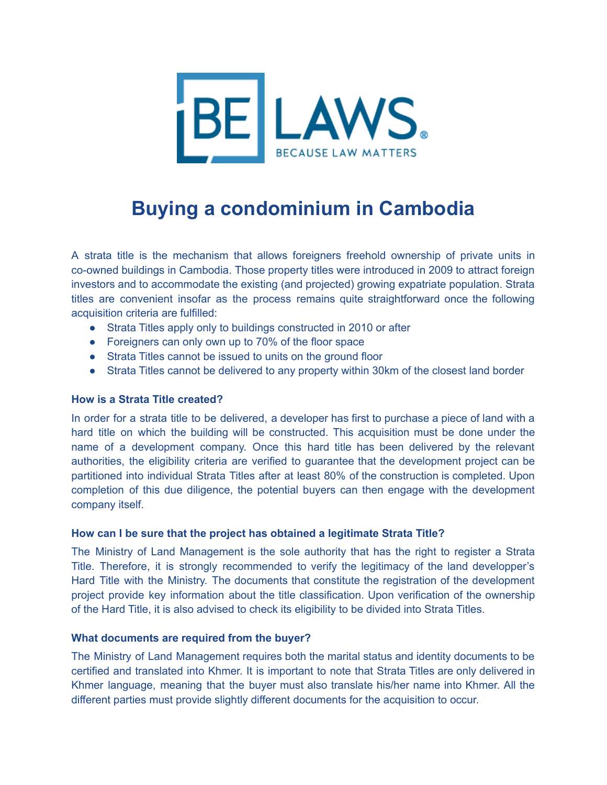

# **Buying a condominium in Cambodia**

A strata title is the mechanism that allows foreigners freehold ownership of private units in co-owned buildings in Cambodia. Those property titles were introduced in 2009 to attract foreign investors and to accommodate the existing (and projected) growing expatriate population. Strata titles are convenient insofar as the process remains quite straightforward once the following acquisition criteria are fulfilled:

- Strata Titles apply only to buildings constructed in 2010 or after
- Foreigners can only own up to 70% of the floor space
- Strata Titles cannot be issued to units on the ground floor
- Strata Titles cannot be delivered to any property within 30km of the closest land border

### **How is a Strata Title created?**

In order for a strata title to be delivered, a developer has first to purchase a piece of land with a hard title on which the building will be constructed. This acquisition must be done under the name of a development company. Once this hard title has been delivered by the relevant authorities, the eligibility criteria are verified to guarantee that the development project can be partitioned into individual Strata Titles after at least 80% of the construction is completed. Upon completion of this due diligence, the potential buyers can then engage with the development company itself.

### **How can I be sure that the project has obtained a legitimate Strata Title?**

The Ministry of Land Management is the sole authority that has the right to register a Strata Title. Therefore, it is strongly recommended to verify the legitimacy of the land developper's Hard Title with the Ministry. The documents that constitute the registration of the development project provide key information about the title classification. Upon verification of the ownership of the Hard Title, it is also advised to check its eligibility to be divided into Strata Titles.

### **What documents are required from the buyer?**

The Ministry of Land Management requires both the marital status and identity documents to be certified and translated into Khmer. It is important to note that Strata Titles are only delivered in Khmer language, meaning that the buyer must also translate his/her name into Khmer. All the different parties must provide slightly different documents for the acquisition to occur.